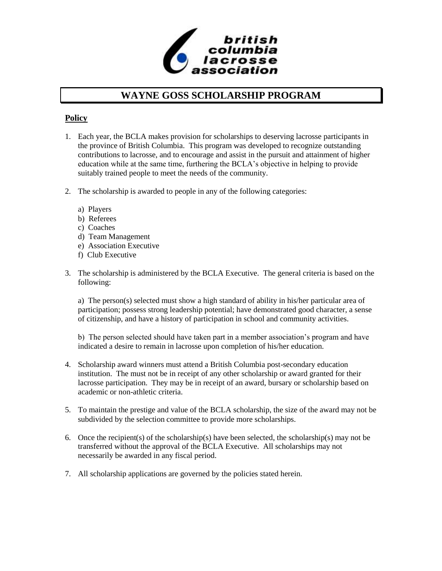

## **WAYNE GOSS SCHOLARSHIP PROGRAM**

### **Policy**

- 1. Each year, the BCLA makes provision for scholarships to deserving lacrosse participants in the province of British Columbia. This program was developed to recognize outstanding contributions to lacrosse, and to encourage and assist in the pursuit and attainment of higher education while at the same time, furthering the BCLA's objective in helping to provide suitably trained people to meet the needs of the community.
- 2. The scholarship is awarded to people in any of the following categories:
	- a) Players
	- b) Referees
	- c) Coaches
	- d) Team Management
	- e) Association Executive
	- f) Club Executive
- 3. The scholarship is administered by the BCLA Executive. The general criteria is based on the following:

a) The person(s) selected must show a high standard of ability in his/her particular area of participation; possess strong leadership potential; have demonstrated good character, a sense of citizenship, and have a history of participation in school and community activities.

b) The person selected should have taken part in a member association's program and have indicated a desire to remain in lacrosse upon completion of his/her education.

- 4. Scholarship award winners must attend a British Columbia post-secondary education institution. The must not be in receipt of any other scholarship or award granted for their lacrosse participation. They may be in receipt of an award, bursary or scholarship based on academic or non-athletic criteria.
- 5. To maintain the prestige and value of the BCLA scholarship, the size of the award may not be subdivided by the selection committee to provide more scholarships.
- 6. Once the recipient(s) of the scholarship(s) have been selected, the scholarship(s) may not be transferred without the approval of the BCLA Executive. All scholarships may not necessarily be awarded in any fiscal period.
- 7. All scholarship applications are governed by the policies stated herein.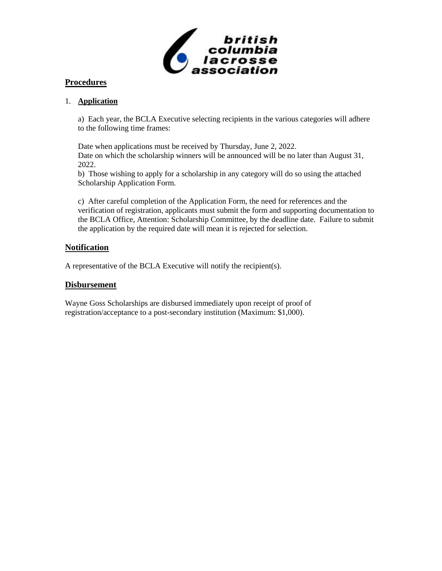

### **Procedures**

#### 1. **Application**

a) Each year, the BCLA Executive selecting recipients in the various categories will adhere to the following time frames:

Date when applications must be received by Thursday, June 2, 2022. Date on which the scholarship winners will be announced will be no later than August 31, 2022.

b) Those wishing to apply for a scholarship in any category will do so using the attached Scholarship Application Form.

c) After careful completion of the Application Form, the need for references and the verification of registration, applicants must submit the form and supporting documentation to the BCLA Office, Attention: Scholarship Committee, by the deadline date. Failure to submit the application by the required date will mean it is rejected for selection.

#### **Notification**

A representative of the BCLA Executive will notify the recipient(s).

#### **Disbursement**

Wayne Goss Scholarships are disbursed immediately upon receipt of proof of registration/acceptance to a post-secondary institution (Maximum: \$1,000).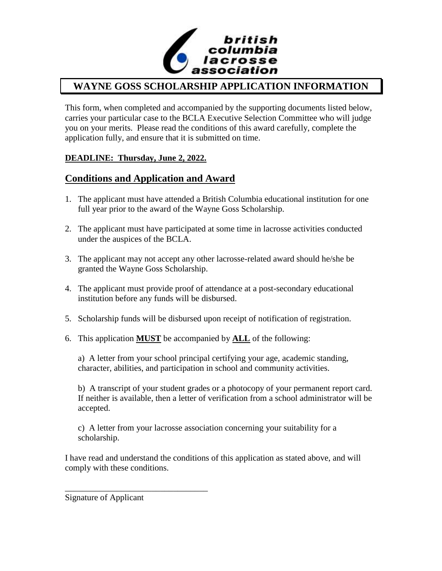

# **WAYNE GOSS SCHOLARSHIP APPLICATION INFORMATION**

This form, when completed and accompanied by the supporting documents listed below, carries your particular case to the BCLA Executive Selection Committee who will judge you on your merits. Please read the conditions of this award carefully, complete the application fully, and ensure that it is submitted on time.

### **DEADLINE: Thursday, June 2, 2022.**

## **Conditions and Application and Award**

- 1. The applicant must have attended a British Columbia educational institution for one full year prior to the award of the Wayne Goss Scholarship.
- 2. The applicant must have participated at some time in lacrosse activities conducted under the auspices of the BCLA.
- 3. The applicant may not accept any other lacrosse-related award should he/she be granted the Wayne Goss Scholarship.
- 4. The applicant must provide proof of attendance at a post-secondary educational institution before any funds will be disbursed.
- 5. Scholarship funds will be disbursed upon receipt of notification of registration.
- 6. This application **MUST** be accompanied by **ALL** of the following:

a) A letter from your school principal certifying your age, academic standing, character, abilities, and participation in school and community activities.

b) A transcript of your student grades or a photocopy of your permanent report card. If neither is available, then a letter of verification from a school administrator will be accepted.

c) A letter from your lacrosse association concerning your suitability for a scholarship.

I have read and understand the conditions of this application as stated above, and will comply with these conditions.

Signature of Applicant

\_\_\_\_\_\_\_\_\_\_\_\_\_\_\_\_\_\_\_\_\_\_\_\_\_\_\_\_\_\_\_\_\_